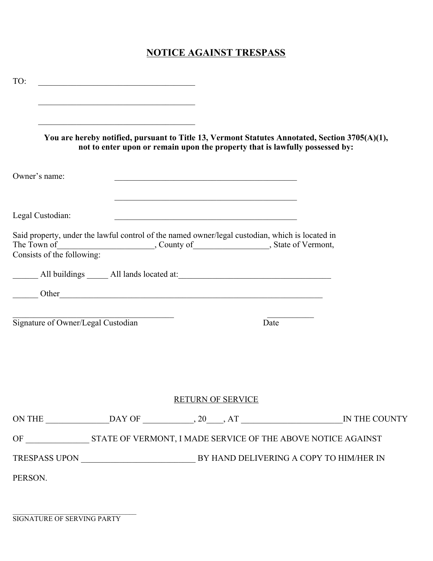## **NOTICE AGAINST TRESPASS**

| TO:                                |  |                                                                                                                                                                                |  |
|------------------------------------|--|--------------------------------------------------------------------------------------------------------------------------------------------------------------------------------|--|
|                                    |  |                                                                                                                                                                                |  |
|                                    |  | You are hereby notified, pursuant to Title 13, Vermont Statutes Annotated, Section 3705(A)(1),<br>not to enter upon or remain upon the property that is lawfully possessed by: |  |
| Owner's name:                      |  |                                                                                                                                                                                |  |
| Legal Custodian:                   |  | <u> 1989 - Johann John Stone, mars eta bainar eta bainar eta baina eta baina eta baina eta baina eta baina eta b</u>                                                           |  |
|                                    |  | Said property, under the lawful control of the named owner/legal custodian, which is located in<br>The Town of Consists of the following: County of Consists of the following: |  |
|                                    |  |                                                                                                                                                                                |  |
|                                    |  |                                                                                                                                                                                |  |
| Signature of Owner/Legal Custodian |  | Date                                                                                                                                                                           |  |
|                                    |  |                                                                                                                                                                                |  |
|                                    |  | <b>RETURN OF SERVICE</b>                                                                                                                                                       |  |
|                                    |  |                                                                                                                                                                                |  |
|                                    |  |                                                                                                                                                                                |  |
|                                    |  |                                                                                                                                                                                |  |
| PERSON.                            |  |                                                                                                                                                                                |  |

 $\mathcal{L}_\text{max}$  , and the set of the set of the set of the set of the set of the set of the set of the set of the set of the set of the set of the set of the set of the set of the set of the set of the set of the set of the